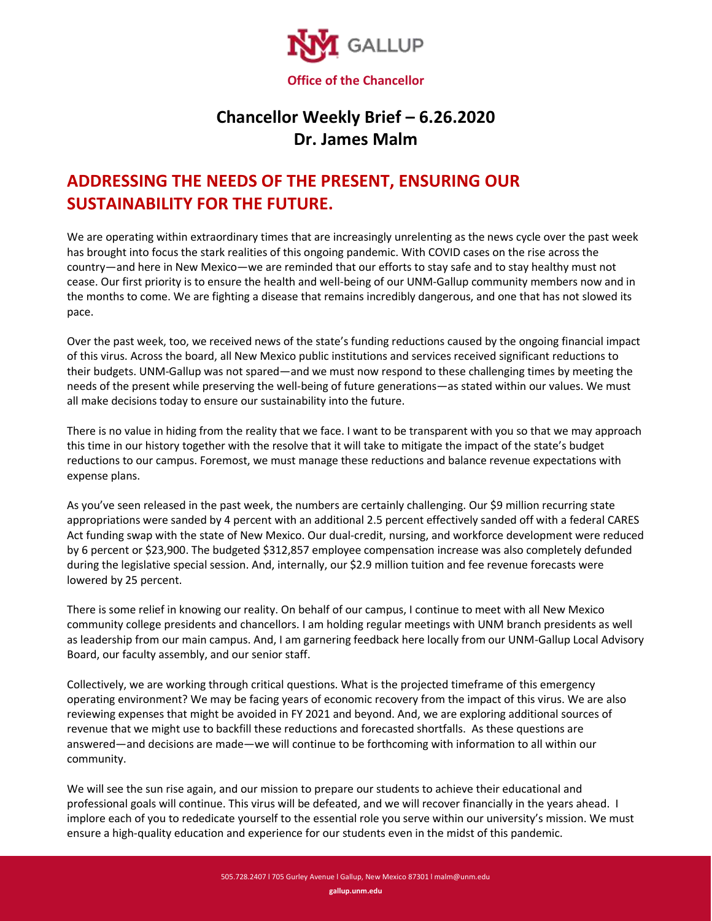

## **Chancellor Weekly Brief – 6.26.2020 Dr. James Malm**

## **ADDRESSING THE NEEDS OF THE PRESENT, ENSURING OUR SUSTAINABILITY FOR THE FUTURE.**

We are operating within extraordinary times that are increasingly unrelenting as the news cycle over the past week has brought into focus the stark realities of this ongoing pandemic. With COVID cases on the rise across the country—and here in New Mexico—we are reminded that our efforts to stay safe and to stay healthy must not cease. Our first priority is to ensure the health and well-being of our UNM-Gallup community members now and in the months to come. We are fighting a disease that remains incredibly dangerous, and one that has not slowed its pace.

Over the past week, too, we received news of the state's funding reductions caused by the ongoing financial impact of this virus. Across the board, all New Mexico public institutions and services received significant reductions to their budgets. UNM-Gallup was not spared—and we must now respond to these challenging times by meeting the needs of the present while preserving the well-being of future generations—as stated within our values. We must all make decisions today to ensure our sustainability into the future.

There is no value in hiding from the reality that we face. I want to be transparent with you so that we may approach this time in our history together with the resolve that it will take to mitigate the impact of the state's budget reductions to our campus. Foremost, we must manage these reductions and balance revenue expectations with expense plans.

As you've seen released in the past week, the numbers are certainly challenging. Our \$9 million recurring state appropriations were sanded by 4 percent with an additional 2.5 percent effectively sanded off with a federal CARES Act funding swap with the state of New Mexico. Our dual-credit, nursing, and workforce development were reduced by 6 percent or \$23,900. The budgeted \$312,857 employee compensation increase was also completely defunded during the legislative special session. And, internally, our \$2.9 million tuition and fee revenue forecasts were lowered by 25 percent.

There is some relief in knowing our reality. On behalf of our campus, I continue to meet with all New Mexico community college presidents and chancellors. I am holding regular meetings with UNM branch presidents as well as leadership from our main campus. And, I am garnering feedback here locally from our UNM-Gallup Local Advisory Board, our faculty assembly, and our senior staff.

Collectively, we are working through critical questions. What is the projected timeframe of this emergency operating environment? We may be facing years of economic recovery from the impact of this virus. We are also reviewing expenses that might be avoided in FY 2021 and beyond. And, we are exploring additional sources of revenue that we might use to backfill these reductions and forecasted shortfalls. As these questions are answered—and decisions are made—we will continue to be forthcoming with information to all within our community.

We will see the sun rise again, and our mission to prepare our students to achieve their educational and professional goals will continue. This virus will be defeated, and we will recover financially in the years ahead. I implore each of you to rededicate yourself to the essential role you serve within our university's mission. We must ensure a high-quality education and experience for our students even in the midst of this pandemic.